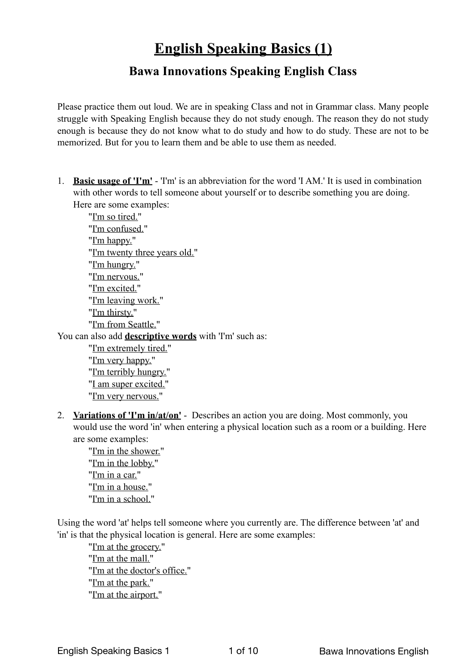## **English Speaking Basics (1)**

## **Bawa Innovations Speaking English Class**

Please practice them out loud. We are in speaking Class and not in Grammar class. Many people struggle with Speaking English because they do not study enough. The reason they do not study enough is because they do not know what to do study and how to do study. These are not to be memorized. But for you to learn them and be able to use them as needed.

1. **[Basic usage of 'I'm'](https://www.talkenglish.com/lessondetails.aspx?ALID=2001)** - 'I'm' is an abbreviation for the word 'I AM.' It is used in combination with other words to tell someone about yourself or to describe something you are doing. Here are some examples:

"[I'm so tired.](http://www.talkenglish.com/audio871/AudioTE1/E01/sentence/E001S1.mp3)" "[I'm confused."](http://www.talkenglish.com/audio871/AudioTE1/E01/sentence/E001S2.mp3) "[I'm happy."](http://www.talkenglish.com/audio871/AudioTE1/E01/sentence/E001S3.mp3) "[I'm twenty three years old."](http://www.talkenglish.com/audio871/AudioTE1/E01/sentence/E001S4.mp3) "[I'm hungry."](http://www.talkenglish.com/audio871/AudioTE1/E01/sentence/E001S5.mp3) "[I'm nervous."](http://www.talkenglish.com/audio871/AudioTE1/E01/sentence/E001S6.mp3) "[I'm excited.](http://www.talkenglish.com/audio871/AudioTE1/E01/sentence/E001S7.mp3)" "[I'm leaving work."](http://www.talkenglish.com/audio871/AudioTE1/E01/sentence/E001S8.mp3) "[I'm thirsty."](http://www.talkenglish.com/audio871/AudioTE1/E01/sentence/E001S9.mp3) "[I'm from Seattle."](http://www.talkenglish.com/audio871/AudioTE1/E01/sentence/E001S10.mp3) You can also add **descriptive words** with 'I'm' such as: "[I'm extremely tired."](http://www.talkenglish.com/audio871/AudioTE1/E01/sentence/E001S11.mp3) "[I'm very happy."](http://www.talkenglish.com/audio871/AudioTE1/E01/sentence/E001S12.mp3) "[I'm terribly hungry."](http://www.talkenglish.com/audio871/AudioTE1/E01/sentence/E001S13.mp3) "[I am super excited.](http://www.talkenglish.com/audio871/AudioTE1/E01/sentence/E001S14.mp3)"

2. **[Variations of 'I'm in/at/on'](https://www.talkenglish.com/lessondetails.aspx?ALID=2002)** - Describes an action you are doing. Most commonly, you would use the word 'in' when entering a physical location such as a room or a building. Here are some examples:

"[I'm in the shower."](http://www.talkenglish.com/audio871/AudioTE1/E02/sentence/E002S1.mp3) "[I'm in the lobby."](http://www.talkenglish.com/audio871/AudioTE1/E02/sentence/E002S2.mp3) "[I'm in a car.](http://www.talkenglish.com/audio871/AudioTE1/E02/sentence/E002S3.mp3)" "[I'm in a house.](http://www.talkenglish.com/audio871/AudioTE1/E02/sentence/E002S4.mp3)" "[I'm in a school."](http://www.talkenglish.com/audio871/AudioTE1/E02/sentence/E002S5.mp3)

"[I'm very nervous."](http://www.talkenglish.com/audio871/AudioTE1/E01/sentence/E001S15.mp3)

Using the word 'at' helps tell someone where you currently are. The difference between 'at' and 'in' is that the physical location is general. Here are some examples:

"[I'm at the grocery."](http://www.talkenglish.com/audio871/AudioTE1/E02/sentence/E002S6.mp3) "[I'm at the mall.](http://www.talkenglish.com/audio871/AudioTE1/E02/sentence/E002S7.mp3)" "[I'm at the doctor's office."](http://www.talkenglish.com/audio871/AudioTE1/E02/sentence/E002S8.mp3) "[I'm at the park.](http://www.talkenglish.com/audio871/AudioTE1/E02/sentence/E002S9.mp3)" "[I'm at the airport."](http://www.talkenglish.com/audio871/AudioTE1/E02/sentence/E002S10.mp3)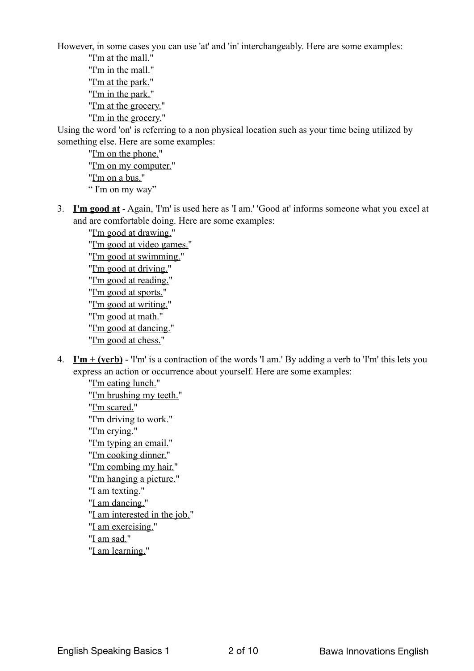However, in some cases you can use 'at' and 'in' interchangeably. Here are some examples:

"[I'm at the mall.](http://www.talkenglish.com/audio871/AudioTE1/E02/sentence/E002S11.mp3)" "[I'm in the mall."](http://www.talkenglish.com/audio871/AudioTE1/E02/sentence/E002S12.mp3) "[I'm at the park.](http://www.talkenglish.com/audio871/AudioTE1/E02/sentence/E002S13.mp3)" "[I'm in the park."](http://www.talkenglish.com/audio871/AudioTE1/E02/sentence/E002S14.mp3) "[I'm at the grocery."](http://www.talkenglish.com/audio871/AudioTE1/E02/sentence/E002S15.mp3) "[I'm in the grocery."](http://www.talkenglish.com/audio871/AudioTE1/E02/sentence/E002S16.mp3)

Using the word 'on' is referring to a non physical location such as your time being utilized by something else. Here are some examples:

"[I'm on the phone."](http://www.talkenglish.com/audio871/AudioTE1/E02/sentence/E002S17.mp3) "[I'm on my computer."](http://www.talkenglish.com/audio871/AudioTE1/E02/sentence/E002S18.mp3) "[I'm on a bus."](http://www.talkenglish.com/audio871/AudioTE1/E02/sentence/E002S19.mp3) " I'm on my way"

3. **[I'm good at](https://www.talkenglish.com/lessondetails.aspx?ALID=2003)** - Again, 'I'm' is used here as 'I am.' 'Good at' informs someone what you excel at and are comfortable doing. Here are some examples:

"[I'm good at drawing."](http://www.talkenglish.com/audio871/AudioTE1/E03/sentence/E003S1.mp3) "[I'm good at video games."](http://www.talkenglish.com/audio871/AudioTE1/E03/sentence/E003S2.mp3) "[I'm good at swimming."](http://www.talkenglish.com/audio871/AudioTE1/E03/sentence/E003S3.mp3) "[I'm good at driving."](http://www.talkenglish.com/audio871/AudioTE1/E03/sentence/E003S4.mp3) "[I'm good at reading.](http://www.talkenglish.com/audio871/AudioTE1/E03/sentence/E003S5.mp3)" "[I'm good at sports."](http://www.talkenglish.com/audio871/AudioTE1/E03/sentence/E003S6.mp3) "[I'm good at writing."](http://www.talkenglish.com/audio871/AudioTE1/E03/sentence/E003S7.mp3) "[I'm good at math.](http://www.talkenglish.com/audio871/AudioTE1/E03/sentence/E003S8.mp3)" "[I'm good at dancing.](http://www.talkenglish.com/audio871/AudioTE1/E03/sentence/E003S9.mp3)" "[I'm good at chess.](http://www.talkenglish.com/audio871/AudioTE1/E03/sentence/E003S10.mp3)"

4. **[I'm + \(verb\)](https://www.talkenglish.com/lessondetails.aspx?ALID=2005)** - 'I'm' is a contraction of the words 'I am.' By adding a verb to 'I'm' this lets you express an action or occurrence about yourself. Here are some examples:

"[I'm eating lunch."](http://www.talkenglish.com/audio871/AudioTE1/E05/sentence/E005S1.mp3) "[I'm brushing my teeth.](http://www.talkenglish.com/audio871/AudioTE1/E05/sentence/E005S2.mp3)" "[I'm scared.](http://www.talkenglish.com/audio871/AudioTE1/E05/sentence/E005S3.mp3)" "[I'm driving to work.](http://www.talkenglish.com/audio871/AudioTE1/E05/sentence/E005S4.mp3)" "[I'm crying.](http://www.talkenglish.com/audio871/AudioTE1/E05/sentence/E005S5.mp3)" "[I'm typing an email.](http://www.talkenglish.com/audio871/AudioTE1/E05/sentence/E005S6.mp3)" "[I'm cooking dinner.](http://www.talkenglish.com/audio871/AudioTE1/E05/sentence/E005S7.mp3)" "[I'm combing my hair."](http://www.talkenglish.com/audio871/AudioTE1/E05/sentence/E005S8.mp3) "[I'm hanging a picture."](http://www.talkenglish.com/audio871/AudioTE1/E05/sentence/E005S9.mp3) "[I am texting."](http://www.talkenglish.com/audio871/AudioTE1/E05/sentence/E005S10.mp3) "[I am dancing."](http://www.talkenglish.com/audio871/AudioTE1/E05/sentence/E005S11.mp3) "[I am interested in the job."](http://www.talkenglish.com/audio871/AudioTE1/E05/sentence/E005S12.mp3) "[I am exercising."](http://www.talkenglish.com/audio871/AudioTE1/E05/sentence/E005S13.mp3) "[I am sad."](http://www.talkenglish.com/audio871/AudioTE1/E05/sentence/E005S14.mp3) "[I am learning."](http://www.talkenglish.com/audio871/AudioTE1/E05/sentence/E005S15.mp3)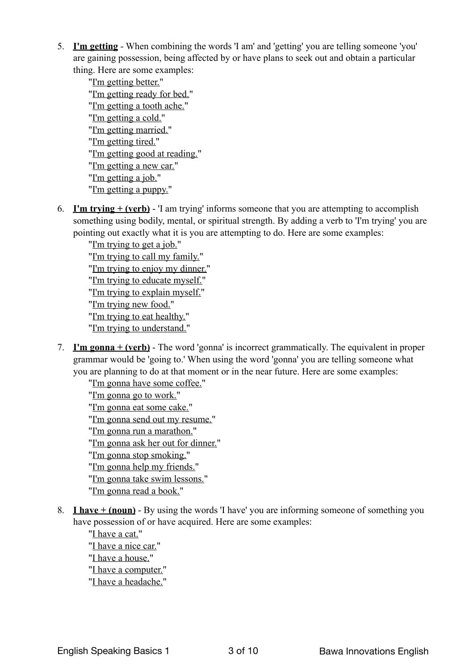- 5. **[I'm getting](https://www.talkenglish.com/lessondetails.aspx?ALID=2006)** When combining the words 'I am' and 'getting' you are telling someone 'you' are gaining possession, being affected by or have plans to seek out and obtain a particular thing. Here are some examples:
	- "[I'm getting better."](http://www.talkenglish.com/audio871/AudioTE1/E06/sentence/E006S1.mp3) "[I'm getting ready for bed."](http://www.talkenglish.com/audio871/AudioTE1/E06/sentence/E006S2.mp3) "[I'm getting a tooth ache."](http://www.talkenglish.com/audio871/AudioTE1/E06/sentence/E006S3.mp3) "[I'm getting a cold."](http://www.talkenglish.com/audio871/AudioTE1/E06/sentence/E006S4.mp3) "[I'm getting married.](http://www.talkenglish.com/audio871/AudioTE1/E06/sentence/E006S5.mp3)" "[I'm getting tired."](http://www.talkenglish.com/audio871/AudioTE1/E06/sentence/E006S6.mp3) "[I'm getting good at reading."](http://www.talkenglish.com/audio871/AudioTE1/E06/sentence/E006S7.mp3) "[I'm getting a new car.](http://www.talkenglish.com/audio871/AudioTE1/E06/sentence/E006S8.mp3)" "[I'm getting a job."](http://www.talkenglish.com/audio871/AudioTE1/E06/sentence/E006S9.mp3) "[I'm getting a puppy."](http://www.talkenglish.com/audio871/AudioTE1/E06/sentence/E006S10.mp3)
- 6. **[I'm trying + \(verb\)](https://www.talkenglish.com/lessondetails.aspx?ALID=2007)** 'I am trying' informs someone that you are attempting to accomplish something using bodily, mental, or spiritual strength. By adding a verb to 'I'm trying' you are pointing out exactly what it is you are attempting to do. Here are some examples:

"[I'm trying to get a job."](http://www.talkenglish.com/audio871/AudioTE1/E07/sentence/E007S1.mp3) "[I'm trying to call my family."](http://www.talkenglish.com/audio871/AudioTE1/E07/sentence/E007S2.mp3) "[I'm trying to enjoy my dinner."](http://www.talkenglish.com/audio871/AudioTE1/E07/sentence/E007S3.mp3) "[I'm trying to educate myself."](http://www.talkenglish.com/audio871/AudioTE1/E07/sentence/E007S4.mp3) "[I'm trying to explain myself."](http://www.talkenglish.com/audio871/AudioTE1/E07/sentence/E007S5.mp3) "[I'm trying new food.](http://www.talkenglish.com/audio871/AudioTE1/E07/sentence/E007S6.mp3)" "[I'm trying to eat healthy."](http://www.talkenglish.com/audio871/AudioTE1/E07/sentence/E007S7.mp3) "[I'm trying to understand.](http://www.talkenglish.com/audio871/AudioTE1/E07/sentence/E007S8.mp3)"

7. **[I'm gonna + \(verb\)](https://www.talkenglish.com/lessondetails.aspx?ALID=2008)** - The word 'gonna' is incorrect grammatically. The equivalent in proper grammar would be 'going to.' When using the word 'gonna' you are telling someone what you are planning to do at that moment or in the near future. Here are some examples:

"[I'm gonna have some coffee."](http://www.talkenglish.com/audio871/AudioTE1/E08/sentence/E008S1.mp3) "[I'm gonna go to work."](http://www.talkenglish.com/audio871/AudioTE1/E08/sentence/E008S2.mp3) "[I'm gonna eat some cake.](http://www.talkenglish.com/audio871/AudioTE1/E08/sentence/E008S3.mp3)" "[I'm gonna send out my resume.](http://www.talkenglish.com/audio871/AudioTE1/E08/sentence/E008S4.mp3)" "[I'm gonna run a marathon."](http://www.talkenglish.com/audio871/AudioTE1/E08/sentence/E008S5.mp3) "[I'm gonna ask her out for dinner."](http://www.talkenglish.com/audio871/AudioTE1/E08/sentence/E008S6.mp3) "[I'm gonna stop smoking.](http://www.talkenglish.com/audio871/AudioTE1/E08/sentence/E008S7.mp3)" "[I'm gonna help my friends.](http://www.talkenglish.com/audio871/AudioTE1/E08/sentence/E008S8.mp3)" "[I'm gonna take swim lessons."](http://www.talkenglish.com/audio871/AudioTE1/E08/sentence/E008S9.mp3) "[I'm gonna read a book."](http://www.talkenglish.com/audio871/AudioTE1/E08/sentence/E008S10.mp3)

8. **[I have + \(noun\)](https://www.talkenglish.com/lessondetails.aspx?ALID=2009)** - By using the words 'I have' you are informing someone of something you have possession of or have acquired. Here are some examples:

"[I have a cat."](http://www.talkenglish.com/audio871/AudioTE1/E09/sentence/E009S1.mp3) "[I have a nice car."](http://www.talkenglish.com/audio871/AudioTE1/E09/sentence/E009S2.mp3) "[I have a house."](http://www.talkenglish.com/audio871/AudioTE1/E09/sentence/E009S3.mp3) "[I have a computer."](http://www.talkenglish.com/audio871/AudioTE1/E09/sentence/E009S4.mp3) "[I have a headache."](http://www.talkenglish.com/audio871/AudioTE1/E09/sentence/E009S5.mp3)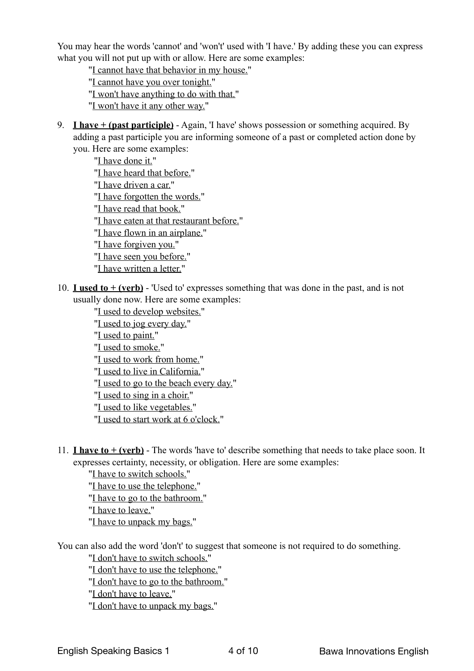You may hear the words 'cannot' and 'won't' used with 'I have.' By adding these you can express what you will not put up with or allow. Here are some examples:

"[I cannot have that behavior in my house.](http://www.talkenglish.com/audio871/AudioTE1/E09/sentence/E009S6.mp3)"

"[I cannot have you over tonight."](http://www.talkenglish.com/audio871/AudioTE1/E09/sentence/E009S7.mp3) "[I won't have anything to do with that."](http://www.talkenglish.com/audio871/AudioTE1/E09/sentence/E009S8.mp3) "[I won't have it any other way."](http://www.talkenglish.com/audio871/AudioTE1/E09/sentence/E009S9.mp3)

- 9. **[I have + \(past participle\)](https://www.talkenglish.com/lessondetails.aspx?ALID=2010)** Again, 'I have' shows possession or something acquired. By adding a past participle you are informing someone of a past or completed action done by you. Here are some examples:
	- "[I have done it.](http://www.talkenglish.com/audio871/AudioTE1/E10/sentence/E010S1.mp3)" "[I have heard that before."](http://www.talkenglish.com/audio871/AudioTE1/E10/sentence/E010S2.mp3) "[I have driven a car.](http://www.talkenglish.com/audio871/AudioTE1/E10/sentence/E010S3.mp3)" "[I have forgotten the words.](http://www.talkenglish.com/audio871/AudioTE1/E10/sentence/E010S4.mp3)" "[I have read that book.](http://www.talkenglish.com/audio871/AudioTE1/E10/sentence/E010S5.mp3)" "[I have eaten at that restaurant before.](http://www.talkenglish.com/audio871/AudioTE1/E10/sentence/E010S6.mp3)" "[I have flown in an airplane."](http://www.talkenglish.com/audio871/AudioTE1/E10/sentence/E010S7.mp3) "[I have forgiven you."](http://www.talkenglish.com/audio871/AudioTE1/E10/sentence/E010S8.mp3) "[I have seen you before.](http://www.talkenglish.com/audio871/AudioTE1/E10/sentence/E010S9.mp3)" "[I have written a letter."](http://www.talkenglish.com/audio871/AudioTE1/E10/sentence/E010S10.mp3)
- 10. **[I used to + \(verb\)](https://www.talkenglish.com/lessondetails.aspx?ALID=2011)** 'Used to' expresses something that was done in the past, and is not usually done now. Here are some examples:
	- "[I used to develop websites.](http://www.talkenglish.com/audio871/AudioTE1/E11/sentence/E011S1.mp3)"
	- "[I used to jog every day."](http://www.talkenglish.com/audio871/AudioTE1/E11/sentence/E011S2.mp3)
	- "[I used to paint.](http://www.talkenglish.com/audio871/AudioTE1/E11/sentence/E011S3.mp3)"
	- "[I used to smoke.](http://www.talkenglish.com/audio871/AudioTE1/E11/sentence/E011S4.mp3)"
	- "[I used to work from home."](http://www.talkenglish.com/audio871/AudioTE1/E11/sentence/E011S5.mp3)
	- "[I used to live in California.](http://www.talkenglish.com/audio871/AudioTE1/E11/sentence/E011S6.mp3)"
	- "[I used to go to the beach every day.](http://www.talkenglish.com/audio871/AudioTE1/E11/sentence/E011S7.mp3)"
	- "[I used to sing in a choir."](http://www.talkenglish.com/audio871/AudioTE1/E11/sentence/E011S8.mp3)
	- "[I used to like vegetables."](http://www.talkenglish.com/audio871/AudioTE1/E11/sentence/E011S9.mp3)
	- "[I used to start work at 6 o'clock.](http://www.talkenglish.com/audio871/AudioTE1/E11/sentence/E011S10.mp3)"
- 11. **[I have to + \(verb\)](https://www.talkenglish.com/lessondetails.aspx?ALID=2012)** The words 'have to' describe something that needs to take place soon. It expresses certainty, necessity, or obligation. Here are some examples:

"[I have to switch schools.](http://www.talkenglish.com/audio871/AudioTE1/E12/sentence/E012S1.mp3)" "[I have to use the telephone.](http://www.talkenglish.com/audio871/AudioTE1/E12/sentence/E012S2.mp3)" "[I have to go to the bathroom."](http://www.talkenglish.com/audio871/AudioTE1/E12/sentence/E012S3.mp3) "[I have to leave.](http://www.talkenglish.com/audio871/AudioTE1/E12/sentence/E012S4.mp3)"

"[I have to unpack my bags."](http://www.talkenglish.com/audio871/AudioTE1/E12/sentence/E012S5.mp3)

You can also add the word 'don't' to suggest that someone is not required to do something.

"[I don't have to switch schools."](http://www.talkenglish.com/audio871/AudioTE1/E12/sentence/E012S6.mp3)

"[I don't have to use the telephone."](http://www.talkenglish.com/audio871/AudioTE1/E12/sentence/E012S7.mp3)

"[I don't have to go to the bathroom."](http://www.talkenglish.com/audio871/AudioTE1/E12/sentence/E012S8.mp3)

"[I don't have to leave."](http://www.talkenglish.com/audio871/AudioTE1/E12/sentence/E012S9.mp3)

"[I don't have to unpack my bags."](http://www.talkenglish.com/audio871/AudioTE1/E12/sentence/E012S10.mp3)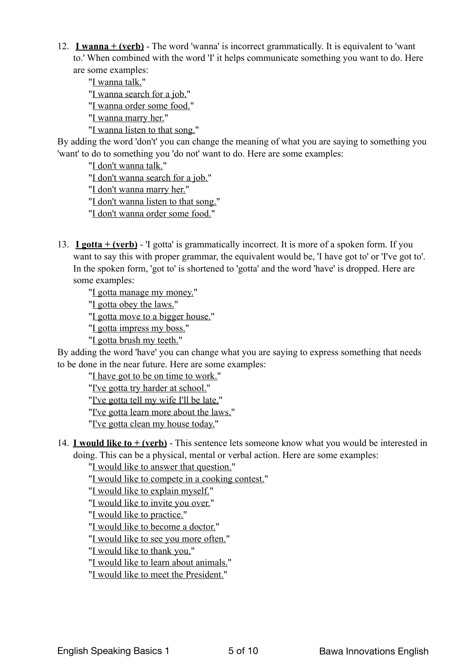12. **[I wanna + \(verb\)](https://www.talkenglish.com/lessondetails.aspx?ALID=2013)** - The word 'wanna' is incorrect grammatically. It is equivalent to 'want to.' When combined with the word 'I' it helps communicate something you want to do. Here are some examples:

"[I wanna talk.](http://www.talkenglish.com/audio871/AudioTE1/E13/sentence/E013S1.mp3)" "[I wanna search for a job."](http://www.talkenglish.com/audio871/AudioTE1/E13/sentence/E013S2.mp3) "[I wanna order some food."](http://www.talkenglish.com/audio871/AudioTE1/E13/sentence/E013S3.mp3) "[I wanna marry her."](http://www.talkenglish.com/audio871/AudioTE1/E13/sentence/E013S4.mp3) "[I wanna listen to that song.](http://www.talkenglish.com/audio871/AudioTE1/E13/sentence/E013S5.mp3)"

By adding the word 'don't' you can change the meaning of what you are saying to something you 'want' to do to something you 'do not' want to do. Here are some examples:

"[I don't wanna talk."](http://www.talkenglish.com/audio871/AudioTE1/E13/sentence/E013S6.mp3) "[I don't wanna search for a job.](http://www.talkenglish.com/audio871/AudioTE1/E13/sentence/E013S7.mp3)" "[I don't wanna marry her.](http://www.talkenglish.com/audio871/AudioTE1/E13/sentence/E013S8.mp3)" "[I don't wanna listen to that song."](http://www.talkenglish.com/audio871/AudioTE1/E13/sentence/E013S9.mp3) "[I don't wanna order some food."](http://www.talkenglish.com/audio871/AudioTE1/E13/sentence/E013S10.mp3)

13. **[I gotta + \(verb\)](https://www.talkenglish.com/lessondetails.aspx?ALID=2014)** - 'I gotta' is grammatically incorrect. It is more of a spoken form. If you want to say this with proper grammar, the equivalent would be, 'I have got to' or 'I've got to'. In the spoken form, 'got to' is shortened to 'gotta' and the word 'have' is dropped. Here are some examples:

"[I gotta manage my money."](http://www.talkenglish.com/audio871/AudioTE1/E14/sentence/E014S1.mp3)

"[I gotta obey the laws."](http://www.talkenglish.com/audio871/AudioTE1/E14/sentence/E014S2.mp3)

"[I gotta move to a bigger house."](http://www.talkenglish.com/audio871/AudioTE1/E14/sentence/E014S3.mp3)

"[I gotta impress my boss."](http://www.talkenglish.com/audio871/AudioTE1/E14/sentence/E014S4.mp3)

"[I gotta brush my teeth.](http://www.talkenglish.com/audio871/AudioTE1/E14/sentence/E014S5.mp3)"

By adding the word 'have' you can change what you are saying to express something that needs to be done in the near future. Here are some examples:

"[I have got to be on time to work."](http://www.talkenglish.com/audio871/AudioTE1/E14/sentence/E014S6.mp3)

"[I've gotta try harder at school."](http://www.talkenglish.com/audio871/AudioTE1/E14/sentence/E014S7.mp3)

"[I've gotta tell my wife I'll be late."](http://www.talkenglish.com/audio871/AudioTE1/E14/sentence/E014S8.mp3)

"[I've gotta learn more about the laws."](http://www.talkenglish.com/audio871/AudioTE1/E14/sentence/E014S9.mp3)

"[I've gotta clean my house today."](http://www.talkenglish.com/audio871/AudioTE1/E14/sentence/E014S10.mp3)

14. **I would like to**  $+$  **(verb)** - This sentence lets someone know what you would be interested in doing. This can be a physical, mental or verbal action. Here are some examples:

"[I would like to answer that question."](http://www.talkenglish.com/audio871/AudioTE1/E15/sentence/E015S1.mp3)

"[I would like to compete in a cooking contest.](http://www.talkenglish.com/audio871/AudioTE1/E15/sentence/E015S2.mp3)"

"[I would like to explain myself.](http://www.talkenglish.com/audio871/AudioTE1/E15/sentence/E015S3.mp3)"

"[I would like to invite you over.](http://www.talkenglish.com/audio871/AudioTE1/E15/sentence/E015S4.mp3)"

"[I would like to practice.](http://www.talkenglish.com/audio871/AudioTE1/E15/sentence/E015S5.mp3)"

"[I would like to become a doctor."](http://www.talkenglish.com/audio871/AudioTE1/E15/sentence/E015S6.mp3)

"[I would like to see you more often."](http://www.talkenglish.com/audio871/AudioTE1/E15/sentence/E015S7.mp3)

"[I would like to thank you."](http://www.talkenglish.com/audio871/AudioTE1/E15/sentence/E015S8.mp3)

"[I would like to learn about animals.](http://www.talkenglish.com/audio871/AudioTE1/E15/sentence/E015S9.mp3)"

"[I would like to meet the President."](http://www.talkenglish.com/audio871/AudioTE1/E15/sentence/E015S10.mp3)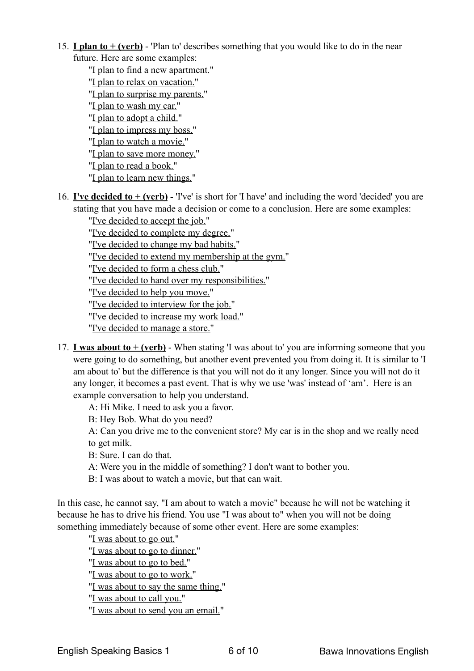- 15. **[I plan to + \(verb\)](https://www.talkenglish.com/lessondetails.aspx?ALID=2016)** 'Plan to' describes something that you would like to do in the near future. Here are some examples:
	- "[I plan to find a new apartment."](http://www.talkenglish.com/audio871/AudioTE1/E16/sentence/E016S1.mp3) "[I plan to relax on vacation."](http://www.talkenglish.com/audio871/AudioTE1/E16/sentence/E016S2.mp3) "[I plan to surprise my parents."](http://www.talkenglish.com/audio871/AudioTE1/E16/sentence/E016S3.mp3) "[I plan to wash my car."](http://www.talkenglish.com/audio871/AudioTE1/E16/sentence/E016S4.mp3) "[I plan to adopt a child."](http://www.talkenglish.com/audio871/AudioTE1/E16/sentence/E016S5.mp3) "[I plan to impress my boss."](http://www.talkenglish.com/audio871/AudioTE1/E16/sentence/E016S6.mp3) "[I plan to watch a movie."](http://www.talkenglish.com/audio871/AudioTE1/E16/sentence/E016S7.mp3) "[I plan to save more money."](http://www.talkenglish.com/audio871/AudioTE1/E16/sentence/E016S8.mp3) "[I plan to read a book."](http://www.talkenglish.com/audio871/AudioTE1/E16/sentence/E016S9.mp3)
	- "[I plan to learn new things.](http://www.talkenglish.com/audio871/AudioTE1/E16/sentence/E016S10.mp3)"
- 16. **I've decided to**  $+$  **(verb)** 'I've' is short for 'I have' and including the word 'decided' you are stating that you have made a decision or come to a conclusion. Here are some examples:

"[I've decided to accept the job."](http://www.talkenglish.com/audio871/AudioTE1/E17/sentence/E017S1.mp3)

"[I've decided to complete my degree."](http://www.talkenglish.com/audio871/AudioTE1/E17/sentence/E017S2.mp3)

"[I've decided to change my bad habits."](http://www.talkenglish.com/audio871/AudioTE1/E17/sentence/E017S3.mp3)

"[I've decided to extend my membership at the gym."](http://www.talkenglish.com/audio871/AudioTE1/E17/sentence/E017S4.mp3)

"[I've decided to form a chess club."](http://www.talkenglish.com/audio871/AudioTE1/E17/sentence/E017S5.mp3)

"[I've decided to hand over my responsibilities."](http://www.talkenglish.com/audio871/AudioTE1/E17/sentence/E017S6.mp3)

"[I've decided to help you move."](http://www.talkenglish.com/audio871/AudioTE1/E17/sentence/E017S7.mp3)

"[I've decided to interview for the job."](http://www.talkenglish.com/audio871/AudioTE1/E17/sentence/E017S8.mp3)

"[I've decided to increase my work load."](http://www.talkenglish.com/audio871/AudioTE1/E17/sentence/E017S9.mp3)

"[I've decided to manage a store."](http://www.talkenglish.com/audio871/AudioTE1/E17/sentence/E017S10.mp3)

17. **I was about to**  $+$  **(verb)** - When stating 'I was about to' you are informing someone that you were going to do something, but another event prevented you from doing it. It is similar to 'I am about to' but the difference is that you will not do it any longer. Since you will not do it any longer, it becomes a past event. That is why we use 'was' instead of 'am'. Here is an example conversation to help you understand.

A: Hi Mike. I need to ask you a favor.

B: Hey Bob. What do you need?

A: Can you drive me to the convenient store? My car is in the shop and we really need to get milk.

B: Sure. I can do that.

A: Were you in the middle of something? I don't want to bother you.

B: I was about to watch a movie, but that can wait.

In this case, he cannot say, "I am about to watch a movie" because he will not be watching it because he has to drive his friend. You use "I was about to" when you will not be doing something immediately because of some other event. Here are some examples:

"[I was about to go out."](http://www.talkenglish.com/audio871/AudioTE1/E18/sentence/E018S1.mp3)

"[I was about to go to dinner."](http://www.talkenglish.com/audio871/AudioTE1/E18/sentence/E018S2.mp3)

"[I was about to go to bed.](http://www.talkenglish.com/audio871/AudioTE1/E18/sentence/E018S3.mp3)"

"[I was about to go to work."](http://www.talkenglish.com/audio871/AudioTE1/E18/sentence/E018S4.mp3)

"[I was about to say the same thing."](http://www.talkenglish.com/audio871/AudioTE1/E18/sentence/E018S5.mp3)

"[I was about to call you."](http://www.talkenglish.com/audio871/AudioTE1/E18/sentence/E018S6.mp3)

"[I was about to send you an email."](http://www.talkenglish.com/audio871/AudioTE1/E18/sentence/E018S7.mp3)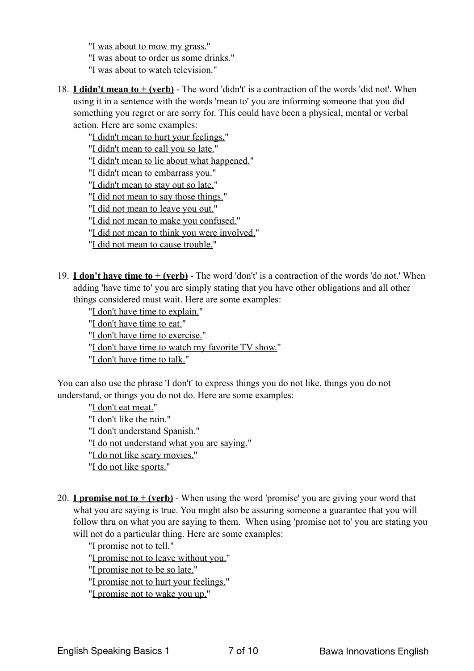"[I was about to mow my grass."](http://www.talkenglish.com/audio871/AudioTE1/E18/sentence/E018S8.mp3) "[I was about to order us some drinks."](http://www.talkenglish.com/audio871/AudioTE1/E18/sentence/E018S9.mp3) "[I was about to watch television."](http://www.talkenglish.com/audio871/AudioTE1/E18/sentence/E018S10.mp3)

18. **[I didn't mean to + \(verb\)](https://www.talkenglish.com/lessondetails.aspx?ALID=2019)** - The word 'didn't' is a contraction of the words 'did not'. When using it in a sentence with the words 'mean to' you are informing someone that you did something you regret or are sorry for. This could have been a physical, mental or verbal action. Here are some examples:

"[I didn't mean to hurt your feelings."](http://www.talkenglish.com/audio871/AudioTE1/E19/sentence/E019S1.mp3) "[I didn't mean to call you so late."](http://www.talkenglish.com/audio871/AudioTE1/E19/sentence/E019S2.mp3) "[I didn't mean to lie about what happened.](http://www.talkenglish.com/audio871/AudioTE1/E19/sentence/E019S3.mp3)" "[I didn't mean to embarrass you."](http://www.talkenglish.com/audio871/AudioTE1/E19/sentence/E019S4.mp3) "[I didn't mean to stay out so late."](http://www.talkenglish.com/audio871/AudioTE1/E19/sentence/E019S5.mp3) "[I did not mean to say those things."](http://www.talkenglish.com/audio871/AudioTE1/E19/sentence/E019S6.mp3) "[I did not mean to leave you out."](http://www.talkenglish.com/audio871/AudioTE1/E19/sentence/E019S7.mp3) "[I did not mean to make you confused.](http://www.talkenglish.com/audio871/AudioTE1/E19/sentence/E019S8.mp3)" "[I did not mean to think you were involved."](http://www.talkenglish.com/audio871/AudioTE1/E19/sentence/E019S9.mp3) "[I did not mean to cause trouble."](http://www.talkenglish.com/audio871/AudioTE1/E19/sentence/E019S10.mp3)

19. **[I don't have time to + \(verb\)](https://www.talkenglish.com/lessondetails.aspx?ALID=2020)** - The word 'don't' is a contraction of the words 'do not.' When adding 'have time to' you are simply stating that you have other obligations and all other things considered must wait. Here are some examples:

"[I don't have time to explain.](http://www.talkenglish.com/audio871/AudioTE1/E20/sentence/E020S1.mp3)"

"[I don't have time to eat."](http://www.talkenglish.com/audio871/AudioTE1/E20/sentence/E020S2.mp3)

"[I don't have time to exercise.](http://www.talkenglish.com/audio871/AudioTE1/E20/sentence/E020S3.mp3)"

"[I don't have time to watch my favorite TV show.](http://www.talkenglish.com/audio871/AudioTE1/E20/sentence/E020S4.mp3)"

"[I don't have time to talk."](http://www.talkenglish.com/audio871/AudioTE1/E20/sentence/E020S5.mp3)

You can also use the phrase 'I don't' to express things you do not like, things you do not understand, or things you do not do. Here are some examples:

"[I don't eat meat."](http://www.talkenglish.com/audio871/AudioTE1/E20/sentence/E020S6.mp3) "[I don't like the rain."](http://www.talkenglish.com/audio871/AudioTE1/E20/sentence/E020S7.mp3) "[I don't understand Spanish.](http://www.talkenglish.com/audio871/AudioTE1/E20/sentence/E020S8.mp3)" "[I do not understand what you are saying.](http://www.talkenglish.com/audio871/AudioTE1/E20/sentence/E020S9.mp3)" "[I do not like scary movies.](http://www.talkenglish.com/audio871/AudioTE1/E20/sentence/E020S10.mp3)" "[I do not like sports."](http://www.talkenglish.com/audio871/AudioTE1/E20/sentence/E020S11.mp3)

20. **[I promise not to + \(verb\)](https://www.talkenglish.com/lessondetails.aspx?ALID=2021)** - When using the word 'promise' you are giving your word that what you are saying is true. You might also be assuring someone a guarantee that you will follow thru on what you are saying to them. When using 'promise not to' you are stating you will not do a particular thing. Here are some examples:

"[I promise not to tell."](http://www.talkenglish.com/audio871/AudioTE1/E21/sentence/E021S1.mp3)

"[I promise not to leave without you.](http://www.talkenglish.com/audio871/AudioTE1/E21/sentence/E021S2.mp3)"

"[I promise not to be so late."](http://www.talkenglish.com/audio871/AudioTE1/E21/sentence/E021S3.mp3)

"[I promise not to hurt your feelings."](http://www.talkenglish.com/audio871/AudioTE1/E21/sentence/E021S4.mp3)

"[I promise not to wake you up."](http://www.talkenglish.com/audio871/AudioTE1/E21/sentence/E021S5.mp3)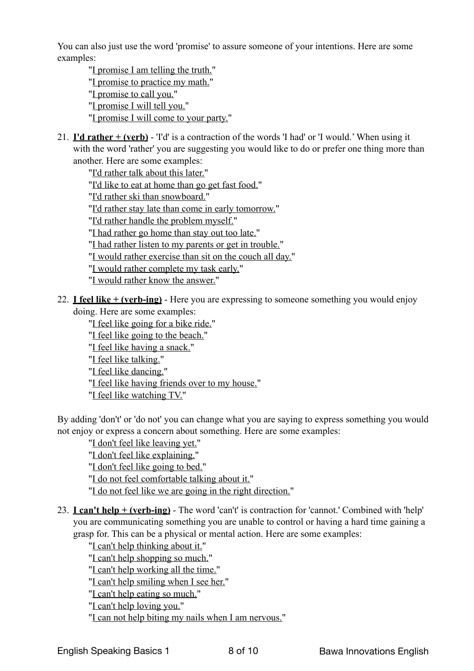You can also just use the word 'promise' to assure someone of your intentions. Here are some examples:

"[I promise I am telling the truth.](http://www.talkenglish.com/audio871/AudioTE1/E21/sentence/E021S6.mp3)" "[I promise to practice my math.](http://www.talkenglish.com/audio871/AudioTE1/E21/sentence/E021S7.mp3)" "[I promise to call you.](http://www.talkenglish.com/audio871/AudioTE1/E21/sentence/E021S8.mp3)" "[I promise I will tell you."](http://www.talkenglish.com/audio871/AudioTE1/E21/sentence/E021S9.mp3) "[I promise I will come to your party."](http://www.talkenglish.com/audio871/AudioTE1/E21/sentence/E021S10.mp3)

21. **[I'd rather + \(verb\)](https://www.talkenglish.com/lessondetails.aspx?ALID=2022)** - 'I'd' is a contraction of the words 'I had' or 'I would.' When using it with the word 'rather' you are suggesting you would like to do or prefer one thing more than another. Here are some examples:

"[I'd rather talk about this later."](http://www.talkenglish.com/audio871/AudioTE1/E22/sentence/E022S1.mp3) "[I'd like to eat at home than go get fast food."](http://www.talkenglish.com/audio871/AudioTE1/E22/sentence/E022S2.mp3) "[I'd rather ski than snowboard."](http://www.talkenglish.com/audio871/AudioTE1/E22/sentence/E022S3.mp3) "[I'd rather stay late than come in early tomorrow.](http://www.talkenglish.com/audio871/AudioTE1/E22/sentence/E022S4.mp3)"

"[I'd rather handle the problem myself."](http://www.talkenglish.com/audio871/AudioTE1/E22/sentence/E022S5.mp3)

"[I had rather go home than stay out too late."](http://www.talkenglish.com/audio871/AudioTE1/E22/sentence/E022S6.mp3)

"[I had rather listen to my parents or get in trouble."](http://www.talkenglish.com/audio871/AudioTE1/E22/sentence/E022S7.mp3)

"[I would rather exercise than sit on the couch all day.](http://www.talkenglish.com/audio871/AudioTE1/E22/sentence/E022S8.mp3)"

"[I would rather complete my task early."](http://www.talkenglish.com/audio871/AudioTE1/E22/sentence/E022S9.mp3)

"[I would rather know the answer."](http://www.talkenglish.com/audio871/AudioTE1/E22/sentence/E022S10.mp3)

22. **[I feel like + \(verb-ing\)](https://www.talkenglish.com/lessondetails.aspx?ALID=2023)** - Here you are expressing to someone something you would enjoy doing. Here are some examples:

"[I feel like going for a bike ride."](http://www.talkenglish.com/audio871/AudioTE1/E23/sentence/E023S1.mp3)

"[I feel like going to the beach.](http://www.talkenglish.com/audio871/AudioTE1/E23/sentence/E023S2.mp3)"

"[I feel like having a snack.](http://www.talkenglish.com/audio871/AudioTE1/E23/sentence/E023S3.mp3)"

"[I feel like talking.](http://www.talkenglish.com/audio871/AudioTE1/E23/sentence/E023S4.mp3)"

"[I feel like dancing."](http://www.talkenglish.com/audio871/AudioTE1/E23/sentence/E023S5.mp3)

"[I feel like having friends over to my house."](http://www.talkenglish.com/audio871/AudioTE1/E23/sentence/E023S6.mp3)

"[I feel like watching TV.](http://www.talkenglish.com/audio871/AudioTE1/E23/sentence/E023S7.mp3)"

By adding 'don't' or 'do not' you can change what you are saying to express something you would not enjoy or express a concern about something. Here are some examples:

"[I don't feel like leaving yet."](http://www.talkenglish.com/audio871/AudioTE1/E23/sentence/E023S8.mp3)

"[I don't feel like explaining.](http://www.talkenglish.com/audio871/AudioTE1/E23/sentence/E023S9.mp3)"

"[I don't feel like going to bed."](http://www.talkenglish.com/audio871/AudioTE1/E23/sentence/E023S10.mp3)

"[I do not feel comfortable talking about it."](http://www.talkenglish.com/audio871/AudioTE1/E23/sentence/E023S11.mp3)

"[I do not feel like we are going in the right direction."](http://www.talkenglish.com/audio871/AudioTE1/E23/sentence/E023S12.mp3)

23. **[I can't help + \(verb-ing\)](https://www.talkenglish.com/lessondetails.aspx?ALID=2024)** - The word 'can't' is contraction for 'cannot.' Combined with 'help' you are communicating something you are unable to control or having a hard time gaining a grasp for. This can be a physical or mental action. Here are some examples:

"[I can't help thinking about it.](http://www.talkenglish.com/audio871/AudioTE1/E24/sentence/E024S1.mp3)"

"[I can't help shopping so much.](http://www.talkenglish.com/audio871/AudioTE1/E24/sentence/E024S2.mp3)"

"[I can't help working all the time."](http://www.talkenglish.com/audio871/AudioTE1/E24/sentence/E024S3.mp3)

"[I can't help smiling when I see her."](http://www.talkenglish.com/audio871/AudioTE1/E24/sentence/E024S4.mp3)

"[I can't help eating so much."](http://www.talkenglish.com/audio871/AudioTE1/E24/sentence/E024S5.mp3)

"[I can't help loving you."](http://www.talkenglish.com/audio871/AudioTE1/E24/sentence/E024S6.mp3)

"[I can not help biting my nails when I am nervous.](http://www.talkenglish.com/audio871/AudioTE1/E24/sentence/E024S7.mp3)"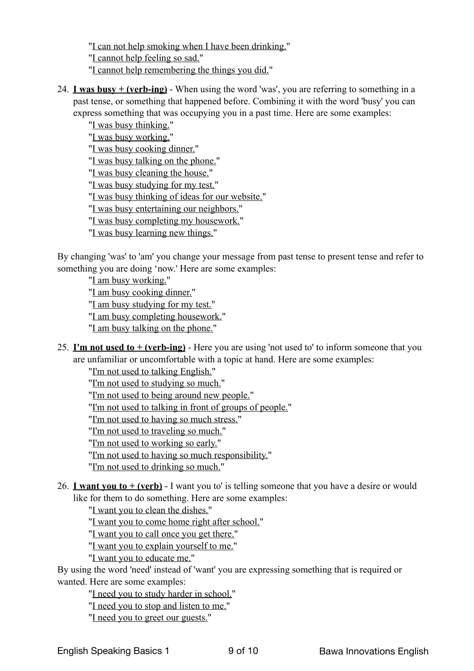"[I can not help smoking when I have been drinking."](http://www.talkenglish.com/audio871/AudioTE1/E24/sentence/E024S8.mp3) "[I cannot help feeling so sad."](http://www.talkenglish.com/audio871/AudioTE1/E24/sentence/E024S9.mp3) "[I cannot help remembering the things you did."](http://www.talkenglish.com/audio871/AudioTE1/E24/sentence/E024S10.mp3)

24. **[I was busy + \(verb-ing\)](https://www.talkenglish.com/lessondetails.aspx?ALID=2025)** - When using the word 'was', you are referring to something in a past tense, or something that happened before. Combining it with the word 'busy' you can express something that was occupying you in a past time. Here are some examples:

"[I was busy thinking."](http://www.talkenglish.com/audio871/AudioTE1/E25/sentence/E025S1.mp3) "[I was busy working."](http://www.talkenglish.com/audio871/AudioTE1/E25/sentence/E025S2.mp3) "[I was busy cooking dinner."](http://www.talkenglish.com/audio871/AudioTE1/E25/sentence/E025S3.mp3) "[I was busy talking on the phone."](http://www.talkenglish.com/audio871/AudioTE1/E25/sentence/E025S4.mp3) "[I was busy cleaning the house."](http://www.talkenglish.com/audio871/AudioTE1/E25/sentence/E025S5.mp3) "[I was busy studying for my test."](http://www.talkenglish.com/audio871/AudioTE1/E25/sentence/E025S6.mp3) "[I was busy thinking of ideas for our website."](http://www.talkenglish.com/audio871/AudioTE1/E25/sentence/E025S7.mp3) "[I was busy entertaining our neighbors."](http://www.talkenglish.com/audio871/AudioTE1/E25/sentence/E025S8.mp3) "[I was busy completing my housework.](http://www.talkenglish.com/audio871/AudioTE1/E25/sentence/E025S9.mp3)"

"[I was busy learning new things."](http://www.talkenglish.com/audio871/AudioTE1/E25/sentence/E025S10.mp3)

By changing 'was' to 'am' you change your message from past tense to present tense and refer to something you are doing 'now.' Here are some examples:

"[I am busy working."](http://www.talkenglish.com/audio871/AudioTE1/E25/sentence/E025S11.mp3) "[I am busy cooking dinner."](http://www.talkenglish.com/audio871/AudioTE1/E25/sentence/E025S12.mp3) "[I am busy studying for my test."](http://www.talkenglish.com/audio871/AudioTE1/E25/sentence/E025S13.mp3) "[I am busy completing housework."](http://www.talkenglish.com/audio871/AudioTE1/E25/sentence/E025S14.mp3)

"[I am busy talking on the phone."](http://www.talkenglish.com/audio871/AudioTE1/E25/sentence/E025S15.mp3)

25. **[I'm not used to + \(verb-ing\)](https://www.talkenglish.com/lessondetails.aspx?ALID=2026)** - Here you are using 'not used to' to inform someone that you are unfamiliar or uncomfortable with a topic at hand. Here are some examples:

"[I'm not used to talking English.](http://www.talkenglish.com/audio871/AudioTE1/E26/sentence/E026S1.mp3)"

"[I'm not used to studying so much."](http://www.talkenglish.com/audio871/AudioTE1/E26/sentence/E026S2.mp3)

"[I'm not used to being around new people.](http://www.talkenglish.com/audio871/AudioTE1/E26/sentence/E026S3.mp3)"

"[I'm not used to talking in front of groups of people."](http://www.talkenglish.com/audio871/AudioTE1/E26/sentence/E026S4.mp3)

"[I'm not used to having so much stress."](http://www.talkenglish.com/audio871/AudioTE1/E26/sentence/E026S5.mp3)

"[I'm not used to traveling so much.](http://www.talkenglish.com/audio871/AudioTE1/E26/sentence/E026S6.mp3)"

"[I'm not used to working so early."](http://www.talkenglish.com/audio871/AudioTE1/E26/sentence/E026S7.mp3)

"[I'm not used to having so much responsibility."](http://www.talkenglish.com/audio871/AudioTE1/E26/sentence/E026S8.mp3)

"[I'm not used to drinking so much.](http://www.talkenglish.com/audio871/AudioTE1/E26/sentence/E026S9.mp3)"

26. **[I want you to + \(verb\)](https://www.talkenglish.com/lessondetails.aspx?ALID=2027)** - I want you to' is telling someone that you have a desire or would like for them to do something. Here are some examples:

"[I want you to clean the dishes."](http://www.talkenglish.com/audio871/AudioTE1/E27/sentence/E027S1.mp3)

"[I want you to come home right after school.](http://www.talkenglish.com/audio871/AudioTE1/E27/sentence/E027S2.mp3)"

"[I want you to call once you get there.](http://www.talkenglish.com/audio871/AudioTE1/E27/sentence/E027S3.mp3)"

"[I want you to explain yourself to me.](http://www.talkenglish.com/audio871/AudioTE1/E27/sentence/E027S4.mp3)"

"[I want you to educate me."](http://www.talkenglish.com/audio871/AudioTE1/E27/sentence/E027S5.mp3)

By using the word 'need' instead of 'want' you are expressing something that is required or wanted. Here are some examples:

"[I need you to study harder in school.](http://www.talkenglish.com/audio871/AudioTE1/E27/sentence/E027S6.mp3)"

"[I need you to stop and listen to me.](http://www.talkenglish.com/audio871/AudioTE1/E27/sentence/E027S7.mp3)"

"[I need you to greet our guests."](http://www.talkenglish.com/audio871/AudioTE1/E27/sentence/E027S8.mp3)